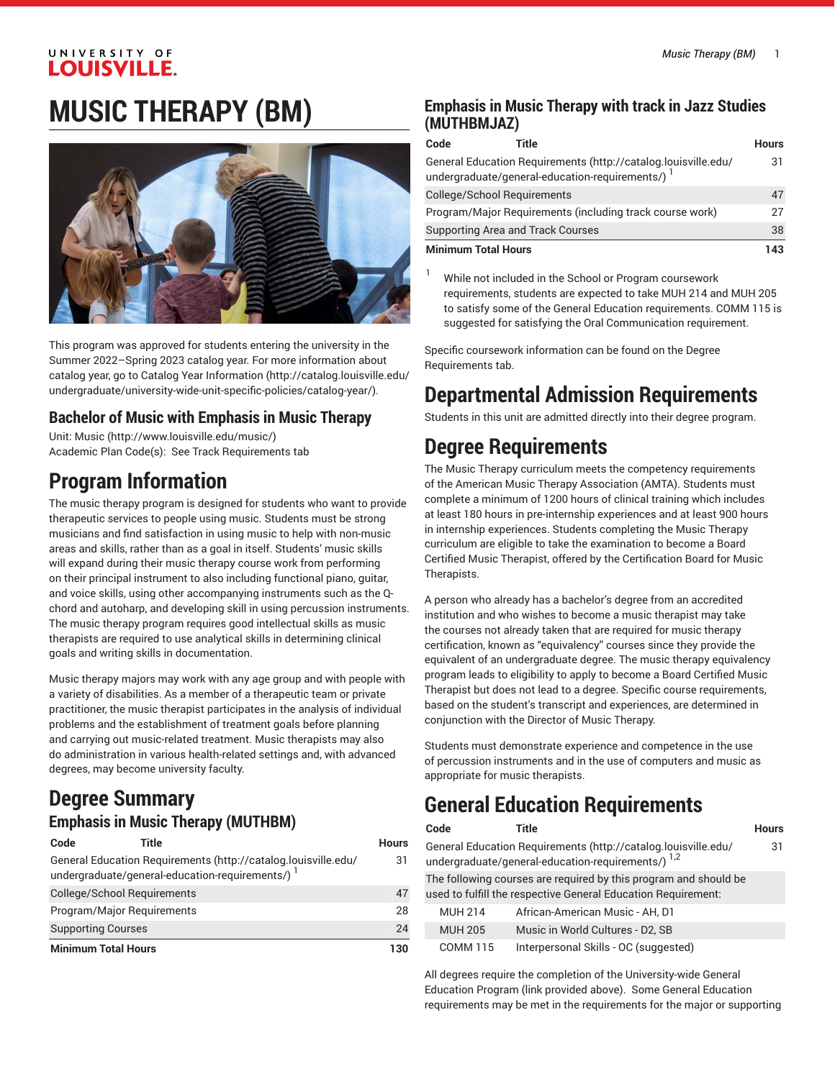# **MUSIC THERAPY (BM)**



This program was approved for students entering the university in the Summer 2022–Spring 2023 catalog year. For more information about catalog year, go to Catalog Year [Information](http://catalog.louisville.edu/undergraduate/university-wide-unit-specific-policies/catalog-year/) ([http://catalog.louisville.edu/](http://catalog.louisville.edu/undergraduate/university-wide-unit-specific-policies/catalog-year/) [undergraduate/university-wide-unit-specific-policies/catalog-year/](http://catalog.louisville.edu/undergraduate/university-wide-unit-specific-policies/catalog-year/)).

# **Bachelor of Music with Emphasis in Music Therapy**

Unit: [Music \(http://www.louisville.edu/music/](http://www.louisville.edu/music/)) Academic Plan Code(s): See Track Requirements tab

# **Program Information**

The music therapy program is designed for students who want to provide therapeutic services to people using music. Students must be strong musicians and find satisfaction in using music to help with non-music areas and skills, rather than as a goal in itself. Students' music skills will expand during their music therapy course work from performing on their principal instrument to also including functional piano, guitar, and voice skills, using other accompanying instruments such as the Qchord and autoharp, and developing skill in using percussion instruments. The music therapy program requires good intellectual skills as music therapists are required to use analytical skills in determining clinical goals and writing skills in documentation.

Music therapy majors may work with any age group and with people with a variety of disabilities. As a member of a therapeutic team or private practitioner, the music therapist participates in the analysis of individual problems and the establishment of treatment goals before planning and carrying out music-related treatment. Music therapists may also do administration in various health-related settings and, with advanced degrees, may become university faculty.

# **Degree Summary**

## **Emphasis in Music Therapy (MUTHBM)**

| Code                                                                                                             | Title | <b>Hours</b> |
|------------------------------------------------------------------------------------------------------------------|-------|--------------|
| General Education Requirements (http://catalog.louisville.edu/<br>undergraduate/general-education-requirements/) |       | 31           |
| College/School Requirements                                                                                      |       | 47           |
| Program/Major Requirements                                                                                       |       | 28           |
| <b>Supporting Courses</b>                                                                                        |       | 24           |
| <b>Minimum Total Hours</b>                                                                                       |       | 130          |

## **Emphasis in Music Therapy with track in Jazz Studies (MUTHBMJAZ)**

| Code                                                     | Title                                                                                                              | <b>Hours</b> |
|----------------------------------------------------------|--------------------------------------------------------------------------------------------------------------------|--------------|
|                                                          | General Education Requirements (http://catalog.louisville.edu/<br>undergraduate/general-education-requirements/) 1 | 31           |
| College/School Requirements                              |                                                                                                                    | 47           |
| Program/Major Requirements (including track course work) |                                                                                                                    | 27           |
|                                                          | <b>Supporting Area and Track Courses</b>                                                                           | 38           |
| <b>Minimum Total Hours</b>                               |                                                                                                                    | 143          |

<sup>1</sup> While not included in the School or Program coursework requirements, students are expected to take MUH 214 and MUH 205 to satisfy some of the General Education requirements. COMM 115 is suggested for satisfying the Oral Communication requirement.

Specific coursework information can be found on the Degree Requirements tab.

# **Departmental Admission Requirements**

Students in this unit are admitted directly into their degree program.

# **Degree Requirements**

The Music Therapy curriculum meets the competency requirements of the American Music Therapy Association (AMTA). Students must complete a minimum of 1200 hours of clinical training which includes at least 180 hours in pre-internship experiences and at least 900 hours in internship experiences. Students completing the Music Therapy curriculum are eligible to take the examination to become a Board Certified Music Therapist, offered by the Certification Board for Music Therapists.

A person who already has a bachelor's degree from an accredited institution and who wishes to become a music therapist may take the courses not already taken that are required for music therapy certification, known as "equivalency" courses since they provide the equivalent of an undergraduate degree. The music therapy equivalency program leads to eligibility to apply to become a Board Certified Music Therapist but does not lead to a degree. Specific course requirements, based on the student's transcript and experiences, are determined in conjunction with the Director of Music Therapy.

Students must demonstrate experience and competence in the use of percussion instruments and in the use of computers and music as appropriate for music therapists.

# **General Education Requirements**

| Code | Title | <b>Hours</b> |
|------|-------|--------------|
|      |       |              |

31

General Education [Requirements](http://catalog.louisville.edu/undergraduate/general-education-requirements/) ([http://catalog.louisville.edu/](http://catalog.louisville.edu/undergraduate/general-education-requirements/) [undergraduate/general-education-requirements/](http://catalog.louisville.edu/undergraduate/general-education-requirements/))  $^{1,2}$ 

The following courses are required by this program and should be used to fulfill the respective General Education Requirement:

|                | abca to railin the respective ocheral Education negalicineme |
|----------------|--------------------------------------------------------------|
| <b>MUH 214</b> | African-American Music - AH, D1                              |
| <b>MUH 205</b> | Music in World Cultures - D2, SB                             |
| COMM 115       | Interpersonal Skills - OC (suggested)                        |

All degrees require the completion of the University-wide General Education Program (link provided above). Some General Education requirements may be met in the requirements for the major or supporting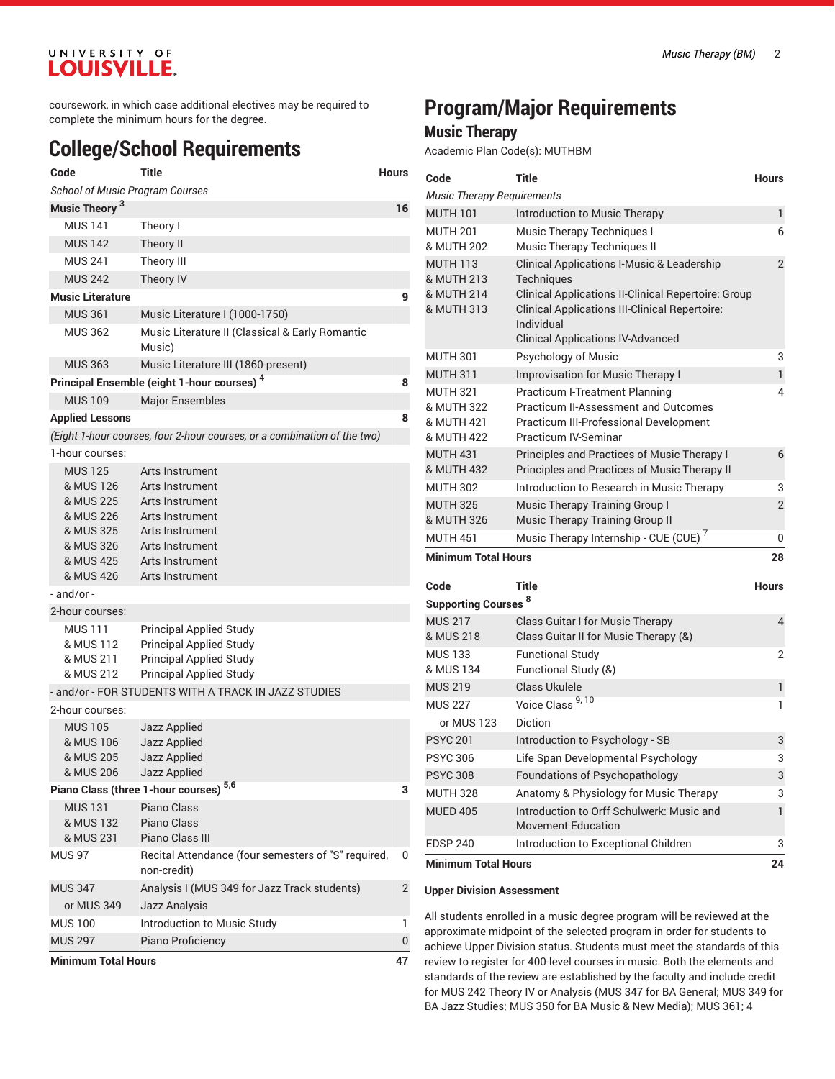coursework, in which case additional electives may be required to complete the minimum hours for the degree.

# **College/School Requirements**

| Code                                     | Title                                                                    | <b>Hours</b> |
|------------------------------------------|--------------------------------------------------------------------------|--------------|
| <b>School of Music Program Courses</b>   |                                                                          |              |
| Music Theory <sup>3</sup>                |                                                                          | 16           |
| <b>MUS 141</b>                           | Theory I                                                                 |              |
| <b>MUS 142</b>                           | Theory II                                                                |              |
| <b>MUS 241</b>                           | Theory III                                                               |              |
| <b>MUS 242</b>                           | Theory IV                                                                |              |
| <b>Music Literature</b>                  |                                                                          | 9            |
| <b>MUS 361</b>                           | Music Literature I (1000-1750)                                           |              |
| <b>MUS 362</b>                           | Music Literature II (Classical & Early Romantic<br>Music)                |              |
| <b>MUS 363</b>                           | Music Literature III (1860-present)                                      |              |
|                                          | Principal Ensemble (eight 1-hour courses) <sup>4</sup>                   | 8            |
| <b>MUS 109</b>                           | <b>Major Ensembles</b>                                                   |              |
| <b>Applied Lessons</b>                   |                                                                          | 8            |
|                                          | (Eight 1-hour courses, four 2-hour courses, or a combination of the two) |              |
| 1-hour courses:                          |                                                                          |              |
| <b>MUS 125</b><br>& MUS 126              | Arts Instrument<br>Arts Instrument                                       |              |
| & MUS 225<br>& MUS 226                   | Arts Instrument<br>Arts Instrument                                       |              |
| & MUS 325                                | Arts Instrument                                                          |              |
| & MUS 326                                | Arts Instrument                                                          |              |
| & MUS 425                                | Arts Instrument                                                          |              |
| & MUS 426                                | Arts Instrument                                                          |              |
| - and/or -                               |                                                                          |              |
| 2-hour courses:                          |                                                                          |              |
| MUS 111                                  | <b>Principal Applied Study</b>                                           |              |
| & MUS 112                                | <b>Principal Applied Study</b>                                           |              |
| & MUS 211                                | <b>Principal Applied Study</b>                                           |              |
| & MUS 212                                | <b>Principal Applied Study</b>                                           |              |
|                                          | - and/or - FOR STUDENTS WITH A TRACK IN JAZZ STUDIES                     |              |
| 2-hour courses:                          |                                                                          |              |
| <b>MUS 105</b><br>& MUS 106<br>& MUS 205 | Jazz Applied<br>Jazz Applied<br>Jazz Applied                             |              |
| & MUS 206                                | Jazz Applied                                                             |              |
|                                          | Piano Class (three 1-hour courses) 5,6                                   | 3            |
| <b>MUS 131</b><br>& MUS 132<br>& MUS 231 | Piano Class<br>Piano Class<br>Piano Class III                            |              |
| <b>MUS 97</b>                            | Recital Attendance (four semesters of "S" required,<br>non-credit)       | 0            |
| <b>MUS 347</b>                           | Analysis I (MUS 349 for Jazz Track students)                             | 2            |
| or MUS 349                               | Jazz Analysis                                                            |              |
| <b>MUS 100</b>                           | Introduction to Music Study                                              | 1            |
| <b>MUS 297</b>                           | Piano Proficiency                                                        | 0            |
| <b>Minimum Total Hours</b>               |                                                                          | 47           |

# **Program/Major Requirements**

## **Music Therapy**

Academic Plan Code(s): MUTHBM

| Code                                          | <b>Title</b>                                                             | <b>Hours</b>   |
|-----------------------------------------------|--------------------------------------------------------------------------|----------------|
| <b>Music Therapy Requirements</b>             |                                                                          |                |
| <b>MUTH 101</b>                               | Introduction to Music Therapy                                            | $\mathbf{1}$   |
| <b>MUTH 201</b>                               | Music Therapy Techniques I                                               | 6              |
| & MUTH 202                                    | Music Therapy Techniques II                                              |                |
| <b>MUTH 113</b>                               | <b>Clinical Applications I-Music &amp; Leadership</b>                    | $\overline{2}$ |
| & MUTH 213<br>& MUTH 214                      | Techniques<br><b>Clinical Applications II-Clinical Repertoire: Group</b> |                |
| & MUTH 313                                    | <b>Clinical Applications III-Clinical Repertoire:</b>                    |                |
|                                               | Individual                                                               |                |
|                                               | <b>Clinical Applications IV-Advanced</b>                                 |                |
| <b>MUTH 301</b>                               | Psychology of Music                                                      | 3              |
| <b>MUTH 311</b>                               | <b>Improvisation for Music Therapy I</b>                                 | $\mathbf{1}$   |
| <b>MUTH 321</b>                               | <b>Practicum I-Treatment Planning</b>                                    | 4              |
| & MUTH 322                                    | <b>Practicum II-Assessment and Outcomes</b>                              |                |
| & MUTH 421<br>& MUTH 422                      | Practicum III-Professional Development<br><b>Practicum IV-Seminar</b>    |                |
| <b>MUTH 431</b>                               | Principles and Practices of Music Therapy I                              | 6              |
| & MUTH 432                                    | Principles and Practices of Music Therapy II                             |                |
| <b>MUTH 302</b>                               | Introduction to Research in Music Therapy                                | 3              |
| <b>MUTH 325</b>                               | Music Therapy Training Group I                                           | $\overline{2}$ |
| & MUTH 326                                    | Music Therapy Training Group II                                          |                |
| <b>MUTH 451</b>                               | Music Therapy Internship - CUE (CUE) <sup>7</sup>                        | 0              |
| <b>Minimum Total Hours</b>                    |                                                                          | 28             |
| Code                                          | <b>Title</b>                                                             | <b>Hours</b>   |
| <b>Supporting Courses 8</b>                   |                                                                          |                |
| <b>MUS 217</b>                                | Class Guitar I for Music Therapy                                         | 4              |
| & MUS 218                                     | Class Guitar II for Music Therapy (&)                                    |                |
| <b>MUS 133</b>                                | <b>Functional Study</b>                                                  | 2              |
| & MUS 134                                     | Functional Study (&)                                                     |                |
| <b>MUS 219</b>                                | <b>Class Ukulele</b>                                                     | $\mathbf{1}$   |
| <b>MUS 227</b>                                | Voice Class <sup>9, 10</sup>                                             | 1              |
| or MUS 123                                    | Diction                                                                  |                |
| <b>PSYC 201</b>                               | Introduction to Psychology - SB                                          | 3              |
| <b>PSYC 306</b>                               | Life Span Developmental Psychology                                       | 3              |
| <b>PSYC 308</b>                               | Foundations of Psychopathology                                           | 3              |
| <b>MUTH 328</b>                               | Anatomy & Physiology for Music Therapy                                   | 3              |
| <b>MUED 405</b>                               | Introduction to Orff Schulwerk: Music and                                | $\mathbf{1}$   |
|                                               | <b>Movement Education</b>                                                |                |
| <b>EDSP 240</b><br><b>Minimum Total Hours</b> | Introduction to Exceptional Children                                     | 3              |
|                                               |                                                                          | 24             |

### **Upper Division Assessment**

All students enrolled in a music degree program will be reviewed at the approximate midpoint of the selected program in order for students to achieve Upper Division status. Students must meet the standards of this review to register for 400-level courses in music. Both the elements and standards of the review are established by the faculty and include credit for MUS 242 Theory IV or Analysis (MUS 347 for BA General; MUS 349 for BA Jazz Studies; MUS 350 for BA Music & New Media); MUS 361; 4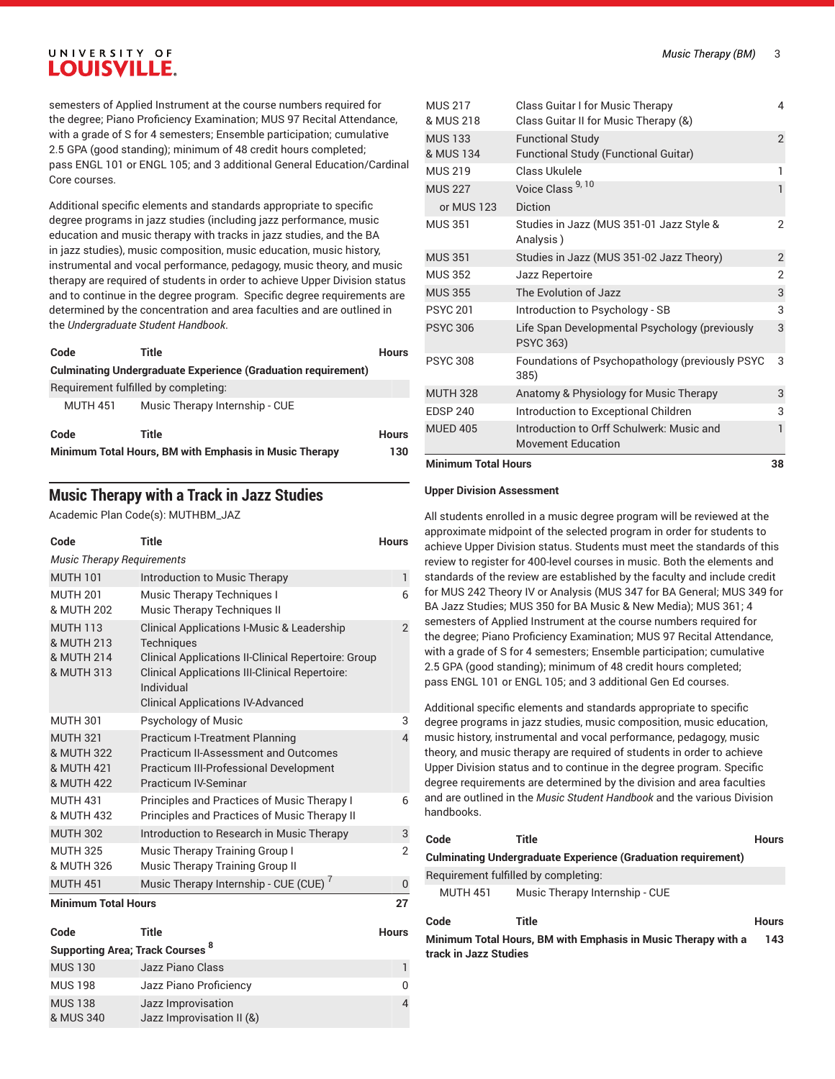semesters of Applied Instrument at the course numbers required for the degree; Piano Proficiency Examination; MUS 97 Recital Attendance, with a grade of S for 4 semesters; Ensemble participation; cumulative 2.5 GPA (good standing); minimum of 48 credit hours completed; pass ENGL 101 or ENGL 105; and 3 additional General Education/Cardinal Core courses.

Additional specific elements and standards appropriate to specific degree programs in jazz studies (including jazz performance, music education and music therapy with tracks in jazz studies, and the BA in jazz studies), music composition, music education, music history, instrumental and vocal performance, pedagogy, music theory, and music therapy are required of students in order to achieve Upper Division status and to continue in the degree program. Specific degree requirements are determined by the concentration and area faculties and are outlined in the *Undergraduate Student Handbook*.

| Code            | Title                                                                | <b>Hours</b> |
|-----------------|----------------------------------------------------------------------|--------------|
|                 | <b>Culminating Undergraduate Experience (Graduation requirement)</b> |              |
|                 | Requirement fulfilled by completing:                                 |              |
| <b>MUTH 451</b> | Music Therapy Internship - CUE                                       |              |
| Code            | Title                                                                | <b>Hours</b> |
|                 | Minimum Total Hours, BM with Emphasis in Music Therapy               | 130          |
|                 |                                                                      |              |

## **Music Therapy with a Track in Jazz Studies**

Academic Plan Code(s): MUTHBM\_JAZ

| Code                                                      | Title                                                                                                                                                                                                    | <b>Hours</b>   |
|-----------------------------------------------------------|----------------------------------------------------------------------------------------------------------------------------------------------------------------------------------------------------------|----------------|
| <b>Music Therapy Requirements</b>                         |                                                                                                                                                                                                          |                |
| <b>MUTH 101</b>                                           | Introduction to Music Therapy                                                                                                                                                                            | $\mathbf{1}$   |
| <b>MUTH 201</b><br>& MUTH 202                             | Music Therapy Techniques I<br><b>Music Therapy Techniques II</b>                                                                                                                                         | 6              |
| <b>MUTH 113</b><br>& MUTH 213<br>& MUTH 214<br>& MUTH 313 | <b>Clinical Applications I-Music &amp; Leadership</b><br>Techniques<br><b>Clinical Applications II-Clinical Repertoire: Group</b><br><b>Clinical Applications III-Clinical Repertoire:</b><br>Individual | $\mathcal{P}$  |
|                                                           | <b>Clinical Applications IV-Advanced</b>                                                                                                                                                                 |                |
| <b>MUTH 301</b>                                           | Psychology of Music                                                                                                                                                                                      | 3              |
| <b>MUTH 321</b><br>& MUTH 322<br>& MUTH 421<br>& MUTH 422 | <b>Practicum I-Treatment Planning</b><br>Practicum II-Assessment and Outcomes<br><b>Practicum III-Professional Development</b><br><b>Practicum IV-Seminar</b>                                            | 4              |
| <b>MUTH 431</b><br>& MUTH 432                             | Principles and Practices of Music Therapy I<br><b>Principles and Practices of Music Therapy II</b>                                                                                                       | 6              |
| <b>MUTH 302</b>                                           | Introduction to Research in Music Therapy                                                                                                                                                                | 3              |
| <b>MUTH 325</b><br>& MUTH 326                             | Music Therapy Training Group I<br>Music Therapy Training Group II                                                                                                                                        | $\mathfrak{p}$ |
| <b>MUTH 451</b>                                           | Music Therapy Internship - CUE (CUE)                                                                                                                                                                     | 0              |
| <b>Minimum Total Hours</b>                                |                                                                                                                                                                                                          | 27             |

| Code           | Title                                   | <b>Hours</b> |
|----------------|-----------------------------------------|--------------|
|                | <b>Supporting Area; Track Courses 8</b> |              |
| <b>MUS 130</b> | Jazz Piano Class                        | ı            |
| <b>MUS 198</b> | Jazz Piano Proficiency                  | 0            |
| <b>MUS 138</b> | Jazz Improvisation                      | 4            |
| & MUS 340      | Jazz Improvisation II (&)               |              |

| <b>Minimum Total Hours</b>  |                                                                           | 38             |
|-----------------------------|---------------------------------------------------------------------------|----------------|
| <b>MUED 405</b>             | Introduction to Orff Schulwerk: Music and<br>Movement Education           | 1              |
| <b>EDSP 240</b>             | Introduction to Exceptional Children                                      | 3              |
| <b>MUTH 328</b>             | Anatomy & Physiology for Music Therapy                                    | 3              |
| <b>PSYC 308</b>             | Foundations of Psychopathology (previously PSYC<br>385)                   | 3              |
| <b>PSYC 306</b>             | Life Span Developmental Psychology (previously<br><b>PSYC 363)</b>        | 3              |
| <b>PSYC 201</b>             | Introduction to Psychology - SB                                           | 3              |
| <b>MUS 355</b>              | The Evolution of Jazz                                                     | 3              |
| <b>MUS 352</b>              | Jazz Repertoire                                                           | $\overline{2}$ |
| <b>MUS 351</b>              | Studies in Jazz (MUS 351-02 Jazz Theory)                                  | $\overline{2}$ |
| <b>MUS 351</b>              | Studies in Jazz (MUS 351-01 Jazz Style &<br>Analysis)                     | 2              |
| or MUS 123                  | <b>Diction</b>                                                            |                |
| <b>MUS 227</b>              | Voice Class <sup>9, 10</sup>                                              | 1              |
| <b>MUS 219</b>              | Class Ukulele                                                             | 1              |
| <b>MUS 133</b><br>& MUS 134 | <b>Functional Study</b><br>Functional Study (Functional Guitar)           | $\overline{2}$ |
| <b>MUS 217</b><br>& MUS 218 | Class Guitar I for Music Therapy<br>Class Guitar II for Music Therapy (&) | 4              |
|                             |                                                                           |                |

### **Upper Division Assessment**

All students enrolled in a music degree program will be reviewed at the approximate midpoint of the selected program in order for students to achieve Upper Division status. Students must meet the standards of this review to register for 400-level courses in music. Both the elements and standards of the review are established by the faculty and include credit for MUS 242 Theory IV or Analysis (MUS 347 for BA General; MUS 349 for BA Jazz Studies; MUS 350 for BA Music & New Media); MUS 361; 4 semesters of Applied Instrument at the course numbers required for the degree; Piano Proficiency Examination; MUS 97 Recital Attendance, with a grade of S for 4 semesters; Ensemble participation; cumulative 2.5 GPA (good standing); minimum of 48 credit hours completed; pass ENGL 101 or ENGL 105; and 3 additional Gen Ed courses.

Additional specific elements and standards appropriate to specific degree programs in jazz studies, music composition, music education, music history, instrumental and vocal performance, pedagogy, music theory, and music therapy are required of students in order to achieve Upper Division status and to continue in the degree program. Specific degree requirements are determined by the division and area faculties and are outlined in the *Music Student Handbook* and the various Division handbooks.

| Code                                                                                   | Title                                                                | <b>Hours</b> |
|----------------------------------------------------------------------------------------|----------------------------------------------------------------------|--------------|
|                                                                                        | <b>Culminating Undergraduate Experience (Graduation requirement)</b> |              |
|                                                                                        | Requirement fulfilled by completing:                                 |              |
| <b>MUTH 451</b>                                                                        | Music Therapy Internship - CUE                                       |              |
| Code                                                                                   | Title                                                                | <b>Hours</b> |
| Minimum Total Hours, BM with Emphasis in Music Therapy with a<br>track in Jazz Studies |                                                                      | 143          |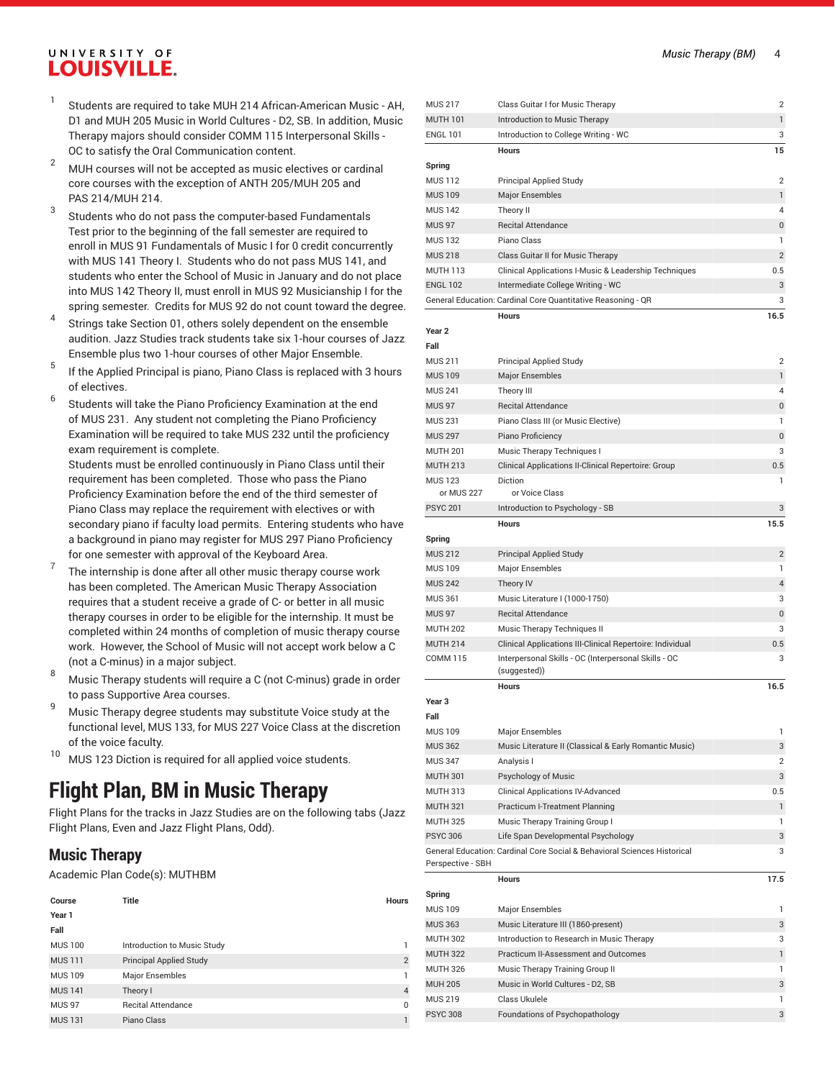- 1 Students are required to take MUH 214 African-American Music - AH, D1 and MUH 205 Music in World Cultures - D2, SB. In addition, Music Therapy majors should consider COMM 115 Interpersonal Skills - OC to satisfy the Oral Communication content.
- <sup>2</sup> MUH courses will not be accepted as music electives or cardinal core courses with the exception of ANTH 205/MUH 205 and PAS 214/MUH 214.
- 3 Students who do not pass the computer-based Fundamentals Test prior to the beginning of the fall semester are required to enroll in MUS 91 Fundamentals of Music I for 0 credit concurrently with MUS 141 Theory I. Students who do not pass MUS 141, and students who enter the School of Music in January and do not place into MUS 142 Theory II, must enroll in MUS 92 Musicianship I for the spring semester. Credits for MUS 92 do not count toward the degree.
- 4 Strings take Section 01, others solely dependent on the ensemble audition. Jazz Studies track students take six 1-hour courses of Jazz Ensemble plus two 1-hour courses of other Major Ensemble.
- 5 If the Applied Principal is piano, Piano Class is replaced with 3 hours of electives.
- 6 Students will take the Piano Proficiency Examination at the end of MUS 231. Any student not completing the Piano Proficiency Examination will be required to take MUS 232 until the proficiency exam requirement is complete.

Students must be enrolled continuously in Piano Class until their requirement has been completed. Those who pass the Piano Proficiency Examination before the end of the third semester of Piano Class may replace the requirement with electives or with secondary piano if faculty load permits. Entering students who have a background in piano may register for MUS 297 Piano Proficiency for one semester with approval of the Keyboard Area.

- 7 The internship is done after all other music therapy course work has been completed. The American Music Therapy Association requires that a student receive a grade of C- or better in all music therapy courses in order to be eligible for the internship. It must be completed within 24 months of completion of music therapy course work. However, the School of Music will not accept work below a C (not a C-minus) in a major subject.
- <sup>8</sup> Music Therapy students will require <sup>a</sup> <sup>C</sup> (not C-minus) grade in order to pass Supportive Area courses.
- 9 Music Therapy degree students may substitute Voice study at the functional level, MUS 133, for MUS 227 Voice Class at the discretion of the voice faculty.
- <sup>10</sup> MUS 123 Diction is required for all applied voice students.

# **Flight Plan, BM in Music Therapy**

Flight Plans for the tracks in Jazz Studies are on the following tabs (Jazz Flight Plans, Even and Jazz Flight Plans, Odd).

### **Music Therapy**

Academic Plan Code(s): MUTHBM

| Course         | Title                          | <b>Hours</b>   |
|----------------|--------------------------------|----------------|
| Year 1         |                                |                |
| Fall           |                                |                |
| <b>MUS 100</b> | Introduction to Music Study    |                |
| <b>MUS 111</b> | <b>Principal Applied Study</b> | $\overline{2}$ |
| <b>MUS 109</b> | Major Ensembles                |                |
| <b>MUS 141</b> | Theory I                       | $\overline{4}$ |
| <b>MUS 97</b>  | <b>Recital Attendance</b>      | $\Omega$       |
| <b>MUS 131</b> | Piano Class                    |                |

| <b>MUS 217</b>                     | Class Guitar I for Music Therapy                                         | 2              |
|------------------------------------|--------------------------------------------------------------------------|----------------|
| <b>MUTH 101</b>                    | Introduction to Music Therapy                                            | $\mathbf{1}$   |
| <b>ENGL 101</b>                    | Introduction to College Writing - WC                                     | 3              |
|                                    | <b>Hours</b>                                                             | 15             |
| Spring                             |                                                                          |                |
| <b>MUS 112</b>                     | <b>Principal Applied Study</b>                                           | 2              |
| <b>MUS 109</b>                     | <b>Major Ensembles</b>                                                   | 1              |
| <b>MUS 142</b>                     | Theory II                                                                | 4              |
| <b>MUS 97</b>                      | <b>Recital Attendance</b>                                                | 0              |
| <b>MUS 132</b>                     | Piano Class                                                              | 1              |
| <b>MUS 218</b>                     | Class Guitar II for Music Therapy                                        | $\overline{2}$ |
| <b>MUTH 113</b>                    | Clinical Applications I-Music & Leadership Techniques                    | 0.5            |
| <b>ENGL 102</b>                    | Intermediate College Writing - WC                                        | 3              |
|                                    | General Education: Cardinal Core Quantitative Reasoning - QR             | 3              |
|                                    | <b>Hours</b>                                                             | 16.5           |
| Year <sub>2</sub>                  |                                                                          |                |
| Fall                               |                                                                          |                |
| <b>MUS 211</b>                     | <b>Principal Applied Study</b>                                           | 2              |
| <b>MUS109</b>                      | <b>Major Ensembles</b>                                                   | 1              |
| <b>MUS 241</b>                     | Theory III                                                               | 4              |
| <b>MUS 97</b>                      | <b>Recital Attendance</b>                                                | 0              |
| <b>MUS 231</b>                     | Piano Class III (or Music Elective)                                      | 1              |
| <b>MUS 297</b>                     | Piano Proficiency                                                        | 0              |
| <b>MUTH 201</b>                    | Music Therapy Techniques I                                               | 3              |
| <b>MUTH 213</b>                    | Clinical Applications II-Clinical Repertoire: Group                      | $0.5\,$        |
| <b>MUS123</b>                      | <b>Diction</b>                                                           | 1              |
| or MUS 227                         | or Voice Class                                                           |                |
| <b>PSYC 201</b>                    | Introduction to Psychology - SB                                          | 3              |
|                                    | <b>Hours</b>                                                             | 15.5           |
| Spring                             |                                                                          |                |
| <b>MUS 212</b>                     | <b>Principal Applied Study</b>                                           | $\overline{2}$ |
| <b>MUS 109</b>                     | Major Ensembles                                                          | 1              |
| <b>MUS 242</b>                     | Theory IV                                                                | 4              |
| <b>MUS 361</b>                     | Music Literature I (1000-1750)                                           | 3              |
| <b>MUS 97</b>                      | <b>Recital Attendance</b>                                                | $\bf{0}$       |
| <b>MUTH 202</b>                    | Music Therapy Techniques II                                              | 3              |
|                                    |                                                                          |                |
| <b>MUTH 214</b><br><b>COMM 115</b> | Clinical Applications III-Clinical Repertoire: Individual                | $0.5\,$<br>3   |
|                                    | Interpersonal Skills - OC (Interpersonal Skills - OC<br>(suggested))     |                |
|                                    | <b>Hours</b>                                                             | 16.5           |
| Year <sub>3</sub>                  |                                                                          |                |
| Fall                               |                                                                          |                |
| <b>MUS 109</b>                     | Major Ensembles                                                          | 1              |
| <b>MUS 362</b>                     | Music Literature II (Classical & Early Romantic Music)                   | 3              |
| <b>MUS 347</b>                     | Analysis I                                                               | 2              |
| <b>MUTH 301</b>                    | Psychology of Music                                                      | 3              |
| <b>MUTH 313</b>                    | <b>Clinical Applications IV-Advanced</b>                                 | 0.5            |
| <b>MUTH 321</b>                    | Practicum I-Treatment Planning                                           | 1              |
| <b>MUTH 325</b>                    | Music Therapy Training Group I                                           | 1              |
| <b>PSYC 306</b>                    | Life Span Developmental Psychology                                       | 3              |
|                                    | General Education: Cardinal Core Social & Behavioral Sciences Historical | 3              |
| Perspective - SBH                  |                                                                          |                |
|                                    | Hours                                                                    | 17.5           |
| Spring                             |                                                                          |                |
| <b>MUS 109</b>                     | Major Ensembles                                                          | 1              |
| <b>MUS 363</b>                     | Music Literature III (1860-present)                                      | 3              |
| <b>MUTH 302</b>                    | Introduction to Research in Music Therapy                                | 3              |
| <b>MUTH 322</b>                    | Practicum II-Assessment and Outcomes                                     | 1              |
| <b>MUTH 326</b>                    | Music Therapy Training Group II                                          | 1              |
| <b>MUH 205</b>                     | Music in World Cultures - D2, SB                                         | 3              |
| <b>MUS 219</b>                     | Class Ukulele                                                            | 1              |
| <b>PSYC 308</b>                    | Foundations of Psychopathology                                           | 3              |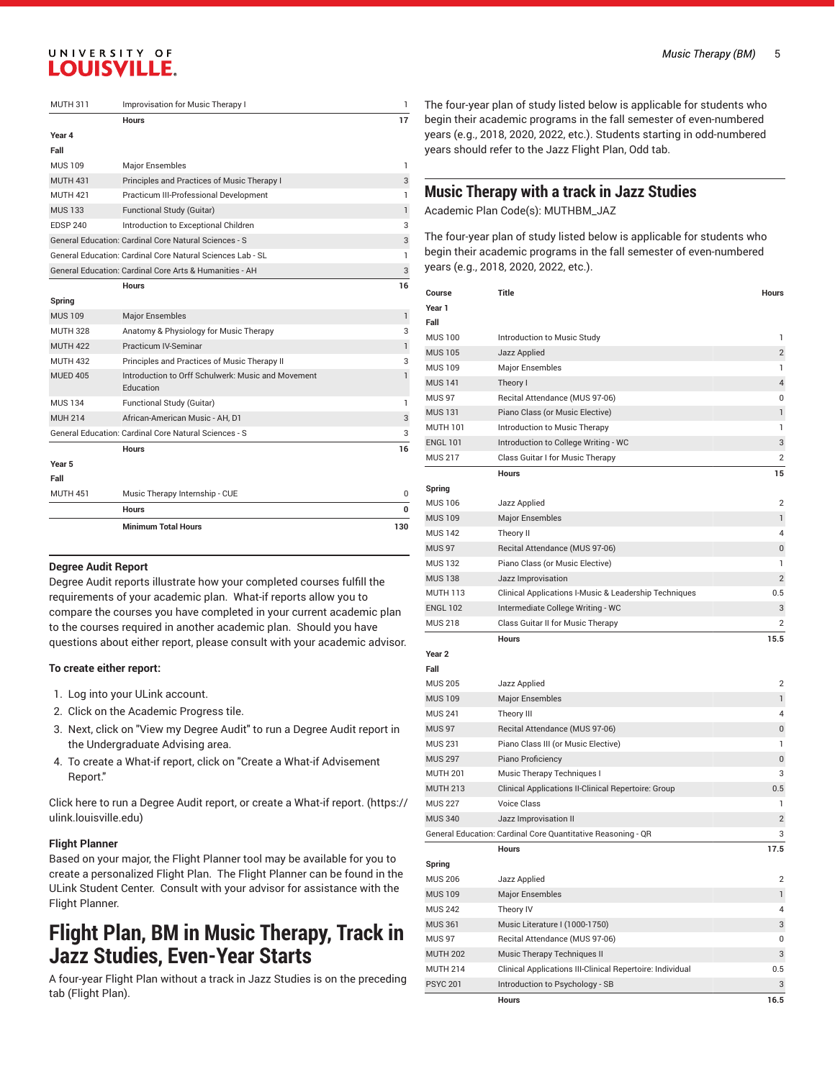| <b>MUTH 311</b> | <b>Improvisation for Music Therapy I</b>                        | 1            |
|-----------------|-----------------------------------------------------------------|--------------|
|                 | <b>Hours</b>                                                    | 17           |
| Year 4          |                                                                 |              |
| Fall            |                                                                 |              |
| <b>MUS 109</b>  | Major Ensembles                                                 | 1            |
| <b>MUTH 431</b> | Principles and Practices of Music Therapy I                     | 3            |
| <b>MUTH 421</b> | Practicum III-Professional Development                          | 1            |
| <b>MUS 133</b>  | Functional Study (Guitar)                                       | 1            |
| <b>EDSP 240</b> | Introduction to Exceptional Children                            | 3            |
|                 | General Education: Cardinal Core Natural Sciences - S           | 3            |
|                 | General Education: Cardinal Core Natural Sciences Lab - SL      | 1            |
|                 | General Education: Cardinal Core Arts & Humanities - AH         | 3            |
|                 | <b>Hours</b>                                                    | 16           |
| Spring          |                                                                 |              |
| <b>MUS 109</b>  | <b>Major Ensembles</b>                                          | $\mathbf{1}$ |
| <b>MUTH 328</b> | Anatomy & Physiology for Music Therapy                          | 3            |
| <b>MUTH 422</b> | <b>Practicum IV-Seminar</b>                                     | $\mathbf{1}$ |
| <b>MUTH 432</b> | Principles and Practices of Music Therapy II                    | 3            |
| <b>MUED 405</b> | Introduction to Orff Schulwerk: Music and Movement<br>Education | 1            |
| <b>MUS 134</b>  | Functional Study (Guitar)                                       | 1            |
| <b>MUH 214</b>  | African-American Music - AH, D1                                 | 3            |
|                 | General Education: Cardinal Core Natural Sciences - S           | 3            |
|                 | <b>Hours</b>                                                    | 16           |
| Year 5          |                                                                 |              |
| Fall            |                                                                 |              |
| <b>MUTH 451</b> | Music Therapy Internship - CUE                                  | 0            |
|                 | <b>Hours</b>                                                    | U            |
|                 | <b>Minimum Total Hours</b>                                      | 130          |

#### **Degree Audit Report**

Degree Audit reports illustrate how your completed courses fulfill the requirements of your academic plan. What-if reports allow you to compare the courses you have completed in your current academic plan to the courses required in another academic plan. Should you have questions about either report, please consult with your academic advisor.

#### **To create either report:**

- 1. Log into your ULink account.
- 2. Click on the Academic Progress tile.
- 3. Next, click on "View my Degree Audit" to run a Degree Audit report in the Undergraduate Advising area.
- 4. To create a What-if report, click on "Create a What-if Advisement Report."

Click here to run a Degree Audit report, or create a [What-if](https://ulink.louisville.edu) report. ([https://](https://ulink.louisville.edu) [ulink.louisville.edu](https://ulink.louisville.edu))

### **Flight Planner**

Based on your major, the Flight Planner tool may be available for you to create a personalized Flight Plan. The Flight Planner can be found in the ULink Student Center. Consult with your advisor for assistance with the Flight Planner.

# **Flight Plan, BM in Music Therapy, Track in Jazz Studies, Even-Year Starts**

A four-year Flight Plan without a track in Jazz Studies is on the preceding tab (Flight Plan).

The four-year plan of study listed below is applicable for students who begin their academic programs in the fall semester of even-numbered years (e.g., 2018, 2020, 2022, etc.). Students starting in odd-numbered years should refer to the Jazz Flight Plan, Odd tab.

### **Music Therapy with a track in Jazz Studies**

Academic Plan Code(s): MUTHBM\_JAZ

The four-year plan of study listed below is applicable for students who begin their academic programs in the fall semester of even-numbered years (e.g., 2018, 2020, 2022, etc.).

| Course            | Title                                                        | Hours          |
|-------------------|--------------------------------------------------------------|----------------|
| Year 1            |                                                              |                |
| Fall              |                                                              |                |
| <b>MUS 100</b>    | Introduction to Music Study                                  | 1              |
| <b>MUS 105</b>    | Jazz Applied                                                 | $\overline{2}$ |
| <b>MUS 109</b>    | Major Ensembles                                              | 1              |
| <b>MUS 141</b>    | Theory I                                                     | 4              |
| <b>MUS 97</b>     | Recital Attendance (MUS 97-06)                               | 0              |
| <b>MUS 131</b>    | Piano Class (or Music Elective)                              | 1              |
| <b>MUTH 101</b>   | Introduction to Music Therapy                                | 1              |
| <b>ENGL 101</b>   | Introduction to College Writing - WC                         | 3              |
| <b>MUS 217</b>    | Class Guitar I for Music Therapy                             | 2              |
|                   | <b>Hours</b>                                                 | 15             |
| Spring            |                                                              |                |
| <b>MUS 106</b>    | Jazz Applied                                                 | 2              |
| <b>MUS 109</b>    | <b>Major Ensembles</b>                                       | 1              |
| <b>MUS 142</b>    | Theory II                                                    | 4              |
| <b>MUS 97</b>     | Recital Attendance (MUS 97-06)                               | $\pmb{0}$      |
| <b>MUS 132</b>    | Piano Class (or Music Elective)                              | 1              |
| <b>MUS 138</b>    | Jazz Improvisation                                           | $\overline{2}$ |
| <b>MUTH 113</b>   | Clinical Applications I-Music & Leadership Techniques        | 0.5            |
| <b>ENGL 102</b>   | Intermediate College Writing - WC                            | 3              |
| <b>MUS 218</b>    | Class Guitar II for Music Therapy                            | 2              |
|                   | <b>Hours</b>                                                 | 15.5           |
| Year <sub>2</sub> |                                                              |                |
| Fall              |                                                              |                |
| <b>MUS 205</b>    | Jazz Applied                                                 | $\overline{2}$ |
| <b>MUS 109</b>    | <b>Major Ensembles</b>                                       | 1              |
| <b>MUS 241</b>    | Theory III                                                   | 4              |
| <b>MUS 97</b>     | Recital Attendance (MUS 97-06)                               | $\bf{0}$       |
| <b>MUS 231</b>    | Piano Class III (or Music Elective)                          | 1              |
| <b>MUS 297</b>    | Piano Proficiency                                            | $\bf{0}$       |
| <b>MUTH 201</b>   | Music Therapy Techniques I                                   | 3              |
| <b>MUTH 213</b>   | Clinical Applications II-Clinical Repertoire: Group          | 0.5            |
| <b>MUS 227</b>    | <b>Voice Class</b>                                           | 1              |
| <b>MUS 340</b>    | Jazz Improvisation II                                        | $\overline{2}$ |
|                   | General Education: Cardinal Core Quantitative Reasoning - QR | 3              |
|                   | <b>Hours</b>                                                 | 17.5           |
| Spring            |                                                              |                |
| <b>MUS 206</b>    | Jazz Applied                                                 | 2              |
| <b>MUS109</b>     | <b>Major Ensembles</b>                                       | $\mathbf{1}$   |
| <b>MUS 242</b>    | Theory IV                                                    | 4              |
| <b>MUS 361</b>    | Music Literature I (1000-1750)                               | 3              |
| <b>MUS 97</b>     | Recital Attendance (MUS 97-06)                               | 0              |
| <b>MUTH 202</b>   | Music Therapy Techniques II                                  | 3              |
| <b>MUTH 214</b>   | Clinical Applications III-Clinical Repertoire: Individual    | 0.5            |
| <b>PSYC 201</b>   | Introduction to Psychology - SB                              | 3              |
|                   | Hours                                                        | 16.5           |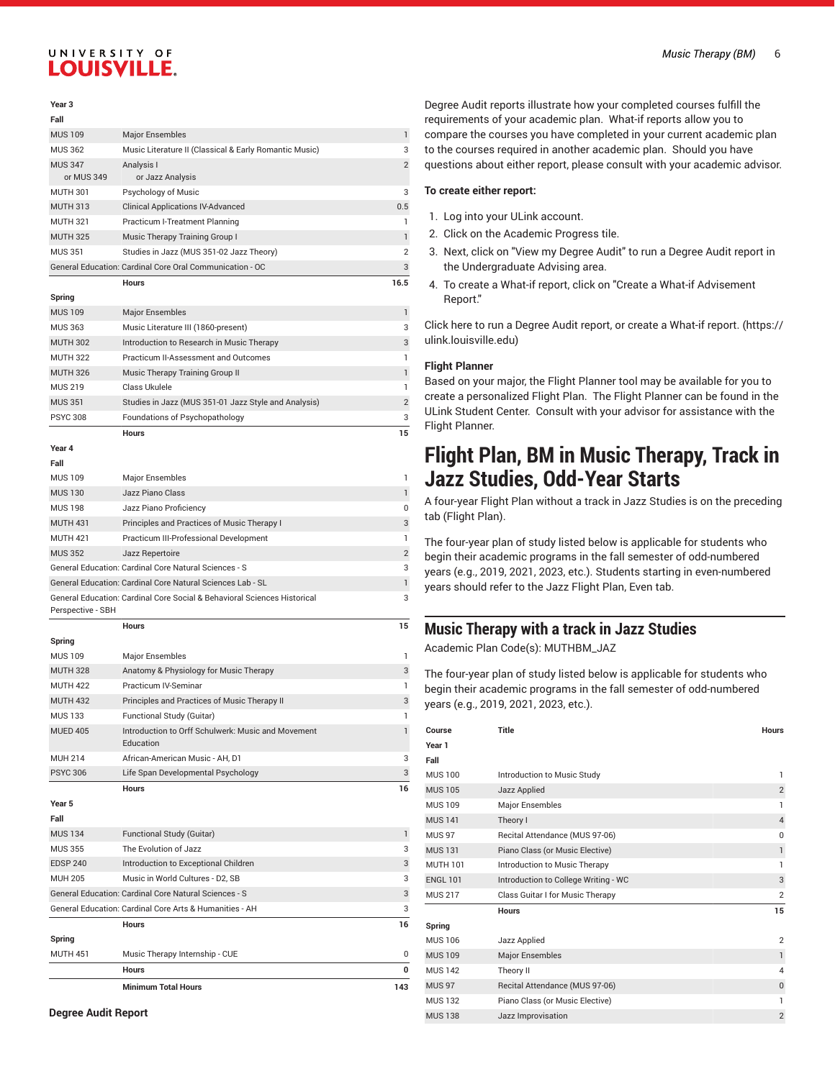### **Year 3**

| Fall                              |                                                                           |                |
|-----------------------------------|---------------------------------------------------------------------------|----------------|
| <b>MUS 109</b>                    | <b>Major Ensembles</b>                                                    | 1              |
| <b>MUS 362</b>                    | Music Literature II (Classical & Early Romantic Music)                    | 3              |
| <b>MUS 347</b>                    | Analysis I                                                                | $\overline{2}$ |
| or MUS 349                        | or Jazz Analysis                                                          |                |
| <b>MUTH 301</b>                   | Psychology of Music                                                       | 3              |
| <b>MUTH 313</b>                   | <b>Clinical Applications IV-Advanced</b>                                  | 0.5            |
| <b>MUTH 321</b>                   | Practicum I-Treatment Planning                                            | 1              |
| <b>MUTH 325</b>                   | Music Therapy Training Group I                                            | $\mathbf{1}$   |
| <b>MUS 351</b>                    | Studies in Jazz (MUS 351-02 Jazz Theory)                                  | $\overline{2}$ |
|                                   | General Education: Cardinal Core Oral Communication - OC                  | 3              |
|                                   | <b>Hours</b>                                                              | 16.5           |
| Spring                            |                                                                           |                |
| <b>MUS 109</b>                    | <b>Major Ensembles</b>                                                    | 1              |
| <b>MUS 363</b>                    | Music Literature III (1860-present)                                       | 3              |
| <b>MUTH 302</b>                   | Introduction to Research in Music Therapy                                 | 3              |
| <b>MUTH 322</b>                   | Practicum II-Assessment and Outcomes                                      | 1              |
| <b>MUTH 326</b>                   | Music Therapy Training Group II                                           | $\mathbf{1}$   |
| <b>MUS 219</b>                    | Class Ukulele                                                             | 1              |
| <b>MUS 351</b>                    | Studies in Jazz (MUS 351-01 Jazz Style and Analysis)                      | $\overline{2}$ |
| <b>PSYC 308</b>                   | Foundations of Psychopathology                                            | 3              |
|                                   | <b>Hours</b>                                                              | 15             |
| Year 4                            |                                                                           |                |
| Fall                              |                                                                           |                |
| <b>MUS 109</b>                    | <b>Major Ensembles</b>                                                    | 1              |
| <b>MUS 130</b>                    | Jazz Piano Class                                                          | $\mathbf{1}$   |
| <b>MUS 198</b>                    | Jazz Piano Proficiency                                                    | 0              |
| <b>MUTH 431</b>                   | Principles and Practices of Music Therapy I                               | 3              |
| <b>MUTH 421</b>                   | Practicum III-Professional Development                                    | 1              |
| <b>MUS 352</b>                    | Jazz Repertoire                                                           | $\overline{2}$ |
|                                   | General Education: Cardinal Core Natural Sciences - S                     | 3              |
|                                   | General Education: Cardinal Core Natural Sciences Lab - SL                | $\mathbf{1}$   |
|                                   | General Education: Cardinal Core Social & Behavioral Sciences Historical  | 3              |
| Perspective - SBH                 |                                                                           |                |
|                                   | <b>Hours</b>                                                              | 15             |
| Spring                            |                                                                           |                |
| <b>MUS 109</b>                    | Major Ensembles                                                           | 1              |
| <b>MUTH 328</b>                   | Anatomy & Physiology for Music Therapy<br>Practicum IV-Seminar            | 3<br>1         |
| <b>MUTH 422</b>                   |                                                                           |                |
| <b>MUTH 432</b><br><b>MUS 133</b> | Principles and Practices of Music Therapy II<br>Functional Study (Guitar) | 3<br>1         |
|                                   |                                                                           |                |
| <b>MUED 405</b>                   | Introduction to Orff Schulwerk: Music and Movement<br>Education           | 1              |
| <b>MUH 214</b>                    | African-American Music - AH, D1                                           | 3              |
| <b>PSYC 306</b>                   | Life Span Developmental Psychology                                        | 3              |
|                                   | <b>Hours</b>                                                              | 16             |
| Year 5                            |                                                                           |                |
| Fall                              |                                                                           |                |
| <b>MUS 134</b>                    | Functional Study (Guitar)                                                 | 1              |
| <b>MUS 355</b>                    | The Evolution of Jazz                                                     | 3              |
| <b>EDSP 240</b>                   | Introduction to Exceptional Children                                      | 3              |
| <b>MUH 205</b>                    | Music in World Cultures - D2, SB                                          | 3              |
|                                   | General Education: Cardinal Core Natural Sciences - S                     | 3              |
|                                   | General Education: Cardinal Core Arts & Humanities - AH                   | 3              |
|                                   | <b>Hours</b>                                                              | 16             |
| Spring                            |                                                                           |                |
| <b>MUTH 451</b>                   | Music Therapy Internship - CUE                                            | 0              |
|                                   | Hours                                                                     | 0              |
|                                   |                                                                           |                |
|                                   | <b>Minimum Total Hours</b>                                                | 143            |

Degree Audit reports illustrate how your completed courses fulfill the requirements of your academic plan. What-if reports allow you to compare the courses you have completed in your current academic plan to the courses required in another academic plan. Should you have questions about either report, please consult with your academic advisor.

#### **To create either report:**

- 1. Log into your ULink account.
- 2. Click on the Academic Progress tile.
- 3. Next, click on "View my Degree Audit" to run a Degree Audit report in the Undergraduate Advising area.
- 4. To create a What-if report, click on "Create a What-if Advisement Report."

Click here to run a Degree Audit report, or create a [What-if](https://ulink.louisville.edu) report. [\(https://](https://ulink.louisville.edu) [ulink.louisville.edu\)](https://ulink.louisville.edu)

#### **Flight Planner**

Based on your major, the Flight Planner tool may be available for you to create a personalized Flight Plan. The Flight Planner can be found in the ULink Student Center. Consult with your advisor for assistance with the Flight Planner.

# **Flight Plan, BM in Music Therapy, Track in Jazz Studies, Odd-Year Starts**

A four-year Flight Plan without a track in Jazz Studies is on the preceding tab (Flight Plan).

The four-year plan of study listed below is applicable for students who begin their academic programs in the fall semester of odd-numbered years (e.g., 2019, 2021, 2023, etc.). Students starting in even-numbered years should refer to the Jazz Flight Plan, Even tab.

### **Music Therapy with a track in Jazz Studies**

Academic Plan Code(s): MUTHBM\_JAZ

The four-year plan of study listed below is applicable for students who begin their academic programs in the fall semester of odd-numbered years (e.g., 2019, 2021, 2023, etc.).

| Course            | <b>Title</b>                         | <b>Hours</b>   |
|-------------------|--------------------------------------|----------------|
| Year 1            |                                      |                |
| Fall              |                                      |                |
| <b>MUS 100</b>    | Introduction to Music Study          | 1              |
| <b>MUS 105</b>    | Jazz Applied                         | $\overline{2}$ |
| <b>MUS 109</b>    | Major Ensembles                      | 1              |
| <b>MUS 141</b>    | Theory I                             | $\overline{4}$ |
| MUS <sub>97</sub> | Recital Attendance (MUS 97-06)       | $\mathbf 0$    |
| <b>MUS 131</b>    | Piano Class (or Music Elective)      | 1              |
| <b>MUTH 101</b>   | Introduction to Music Therapy        | 1              |
| <b>ENGL 101</b>   | Introduction to College Writing - WC | 3              |
| <b>MUS 217</b>    | Class Guitar I for Music Therapy     | $\overline{2}$ |
|                   | <b>Hours</b>                         | 15             |
| Spring            |                                      |                |
| <b>MUS 106</b>    | Jazz Applied                         | $\overline{2}$ |
| <b>MUS 109</b>    | <b>Major Ensembles</b>               | $\mathbf{1}$   |
| <b>MUS 142</b>    | Theory II                            | $\overline{4}$ |
| <b>MUS 97</b>     | Recital Attendance (MUS 97-06)       | $\mathbf{0}$   |
| <b>MUS132</b>     | Piano Class (or Music Elective)      | 1              |
| <b>MUS 138</b>    | Jazz Improvisation                   | $\overline{2}$ |

**Degree Audit Report**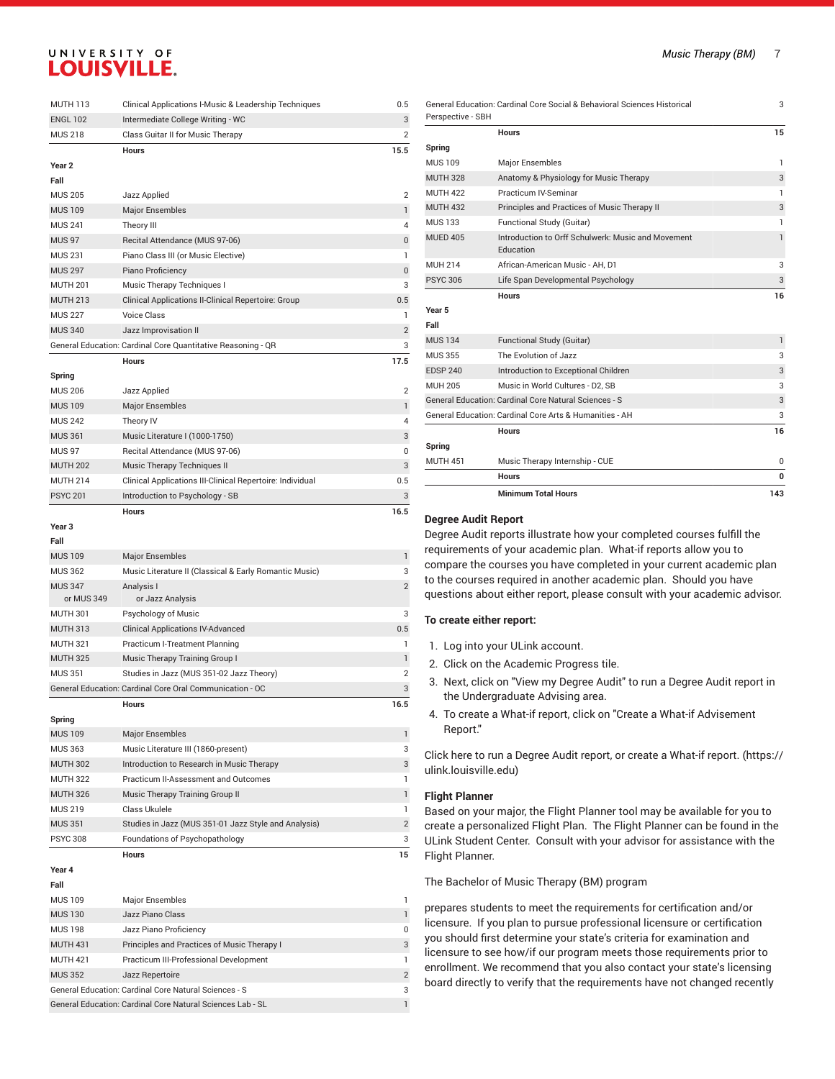| <b>MUTH 113</b>   | Clinical Applications I-Music & Leadership Techniques        | 0.5            |
|-------------------|--------------------------------------------------------------|----------------|
| <b>ENGL 102</b>   | Intermediate College Writing - WC                            | 3              |
| <b>MUS 218</b>    | Class Guitar II for Music Therapy                            | $\overline{2}$ |
|                   | <b>Hours</b>                                                 | 15.5           |
| Year <sub>2</sub> |                                                              |                |
| Fall              |                                                              |                |
| <b>MUS 205</b>    | Jazz Applied                                                 | $\overline{2}$ |
| <b>MUS 109</b>    | <b>Major Ensembles</b>                                       | 1              |
| <b>MUS 241</b>    | Theory III                                                   | 4              |
| <b>MUS 97</b>     | Recital Attendance (MUS 97-06)                               | 0              |
| <b>MUS 231</b>    | Piano Class III (or Music Elective)                          | 1              |
| <b>MUS 297</b>    | Piano Proficiency                                            | 0              |
| <b>MUTH 201</b>   | Music Therapy Techniques I                                   | 3              |
| <b>MUTH 213</b>   | Clinical Applications II-Clinical Repertoire: Group          | 0.5            |
| <b>MUS 227</b>    | <b>Voice Class</b>                                           | 1              |
| <b>MUS 340</b>    | Jazz Improvisation II                                        | $\overline{2}$ |
|                   | General Education: Cardinal Core Quantitative Reasoning - QR | 3              |
|                   | <b>Hours</b>                                                 | 17.5           |
| Spring            |                                                              |                |
| <b>MUS 206</b>    | Jazz Applied                                                 | $\overline{2}$ |
| <b>MUS 109</b>    | Major Ensembles                                              | 1              |
| <b>MUS 242</b>    | Theory IV                                                    | 4              |
| <b>MUS 361</b>    | Music Literature I (1000-1750)                               | 3              |
| <b>MUS 97</b>     | Recital Attendance (MUS 97-06)                               | 0              |
| <b>MUTH 202</b>   | Music Therapy Techniques II                                  | 3              |
| <b>MUTH 214</b>   | Clinical Applications III-Clinical Repertoire: Individual    | 0.5            |
| <b>PSYC 201</b>   | Introduction to Psychology - SB                              | 3              |
|                   | <b>Hours</b>                                                 | 16.5           |
| Year <sub>3</sub> |                                                              |                |
| Fall              |                                                              |                |
| <b>MUS 109</b>    | <b>Major Ensembles</b>                                       | 1              |
| <b>MUS 362</b>    | Music Literature II (Classical & Early Romantic Music)       | 3              |
| <b>MUS 347</b>    | Analysis I                                                   | $\overline{2}$ |
| or MUS 349        | or Jazz Analysis                                             |                |
| <b>MUTH 301</b>   | Psychology of Music                                          | 3              |
| <b>MUTH 313</b>   | <b>Clinical Applications IV-Advanced</b>                     | 0.5            |
| <b>MUTH 321</b>   | Practicum I-Treatment Planning                               | 1              |
| <b>MUTH 325</b>   | Music Therapy Training Group I                               | $\mathbf{1}$   |
| <b>MUS 351</b>    | Studies in Jazz (MUS 351-02 Jazz Theory)                     | $\overline{2}$ |
|                   | General Education: Cardinal Core Oral Communication - OC     | 3              |
|                   | Hours                                                        | 16.5           |
| Spring            |                                                              |                |
| <b>MUS 109</b>    | <b>Major Ensembles</b>                                       | 1              |
| <b>MUS 363</b>    | Music Literature III (1860-present)                          | 3              |
| <b>MUTH 302</b>   | Introduction to Research in Music Therapy                    | 3              |
| <b>MUTH 322</b>   | Practicum II-Assessment and Outcomes                         | 1              |
| <b>MUTH 326</b>   | Music Therapy Training Group II                              | 1              |
| <b>MUS 219</b>    | Class Ukulele                                                | 1              |
| <b>MUS 351</b>    | Studies in Jazz (MUS 351-01 Jazz Style and Analysis)         | $\overline{2}$ |
| <b>PSYC 308</b>   | Foundations of Psychopathology                               | 3              |
|                   | Hours                                                        | 15             |
|                   |                                                              |                |
| Year 4            |                                                              |                |
| Fall              |                                                              |                |
| <b>MUS 109</b>    | Major Ensembles                                              | 1              |
| <b>MUS 130</b>    | Jazz Piano Class                                             | 1              |
| <b>MUS 198</b>    | Jazz Piano Proficiency                                       | 0              |
| <b>MUTH 431</b>   | Principles and Practices of Music Therapy I                  | 3              |
| <b>MUTH 421</b>   | Practicum III-Professional Development                       | 1              |
| <b>MUS 352</b>    | Jazz Repertoire                                              | $\overline{2}$ |
|                   | General Education: Cardinal Core Natural Sciences - S        | 3              |
|                   | General Education: Cardinal Core Natural Sciences Lab - SL   | 1              |

| General Education: Cardinal Core Social & Behavioral Sciences Historical<br>Perspective - SBH |                                                                 | 3            |
|-----------------------------------------------------------------------------------------------|-----------------------------------------------------------------|--------------|
|                                                                                               | <b>Hours</b>                                                    | 15           |
| Spring                                                                                        |                                                                 |              |
| <b>MUS 109</b>                                                                                | <b>Major Ensembles</b>                                          | 1            |
| <b>MUTH 328</b>                                                                               | Anatomy & Physiology for Music Therapy                          | 3            |
| <b>MUTH 422</b>                                                                               | Practicum IV-Seminar                                            | 1            |
| <b>MUTH 432</b>                                                                               | Principles and Practices of Music Therapy II                    | 3            |
| <b>MUS 133</b>                                                                                | Functional Study (Guitar)                                       | 1            |
| <b>MUED 405</b>                                                                               | Introduction to Orff Schulwerk: Music and Movement<br>Education | 1            |
| MUH 214                                                                                       | African-American Music - AH. D1                                 | 3            |
| <b>PSYC 306</b>                                                                               | Life Span Developmental Psychology                              | 3            |
|                                                                                               | <b>Hours</b>                                                    | 16           |
| Year 5                                                                                        |                                                                 |              |
| Fall                                                                                          |                                                                 |              |
| <b>MUS 134</b>                                                                                | Functional Study (Guitar)                                       | $\mathbf{1}$ |
| <b>MUS 355</b>                                                                                | The Evolution of Jazz                                           | 3            |
| <b>EDSP 240</b>                                                                               | Introduction to Exceptional Children                            | 3            |
| <b>MUH 205</b>                                                                                | Music in World Cultures - D2, SB                                | 3            |
|                                                                                               | General Education: Cardinal Core Natural Sciences - S           | 3            |
|                                                                                               | General Education: Cardinal Core Arts & Humanities - AH         | 3            |
|                                                                                               | <b>Hours</b>                                                    | 16           |
| Spring                                                                                        |                                                                 |              |
| <b>MUTH 451</b>                                                                               | Music Therapy Internship - CUE                                  | $\Omega$     |
|                                                                                               | <b>Hours</b>                                                    | 0            |
|                                                                                               | <b>Minimum Total Hours</b>                                      | 143          |
|                                                                                               |                                                                 |              |

### **Degree Audit Report**

Degree Audit reports illustrate how your completed courses fulfill the requirements of your academic plan. What-if reports allow you to compare the courses you have completed in your current academic plan to the courses required in another academic plan. Should you have questions about either report, please consult with your academic advisor.

#### **To create either report:**

- 1. Log into your ULink account.
- 2. Click on the Academic Progress tile.
- 3. Next, click on "View my Degree Audit" to run a Degree Audit report in the Undergraduate Advising area.
- 4. To create a What-if report, click on "Create a What-if Advisement Report."

Click here to run a Degree Audit report, or create a [What-if](https://ulink.louisville.edu) report. [\(https://](https://ulink.louisville.edu) [ulink.louisville.edu\)](https://ulink.louisville.edu)

### **Flight Planner**

Based on your major, the Flight Planner tool may be available for you to create a personalized Flight Plan. The Flight Planner can be found in the ULink Student Center. Consult with your advisor for assistance with the Flight Planner.

The Bachelor of Music Therapy (BM) program

prepares students to meet the requirements for certification and/or licensure. If you plan to pursue professional licensure or certification you should first determine your state's criteria for examination and licensure to see how/if our program meets those requirements prior to enrollment. We recommend that you also contact your state's licensing board directly to verify that the requirements have not changed recently